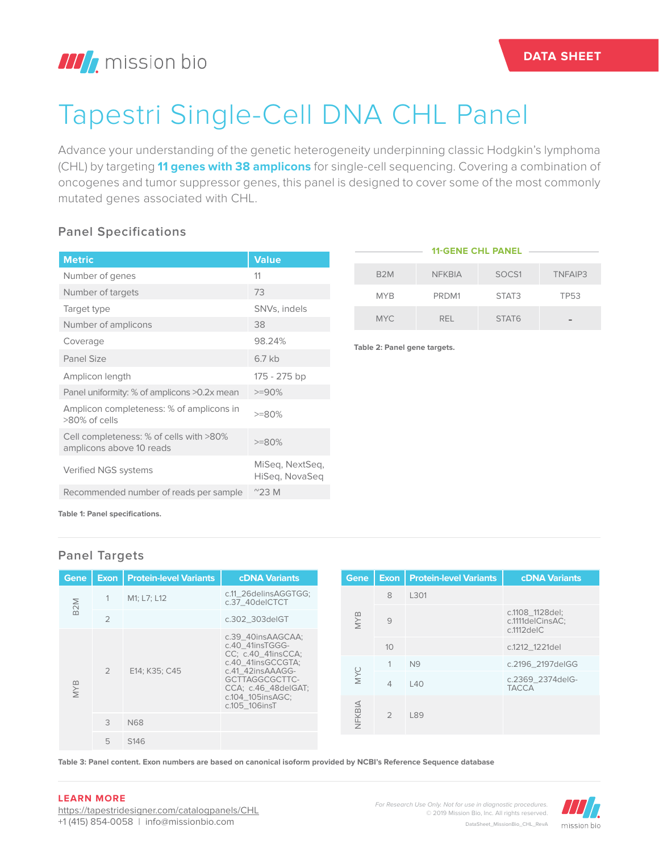## **III** mission bio

# Tapestri Single-Cell DNA CHL Panel

Advance your understanding of the genetic heterogeneity underpinning classic Hodgkin's lymphoma (CHL) by targeting **11 genes with 38 amplicons** for single-cell sequencing. Covering a combination of oncogenes and tumor suppressor genes, this panel is designed to cover some of the most commonly mutated genes associated with CHL.

#### **Panel Specifications**

| <b>Metric</b>                                                       | <b>Value</b>                      |
|---------------------------------------------------------------------|-----------------------------------|
| Number of genes                                                     | 11                                |
| Number of targets                                                   | 73                                |
| Target type                                                         | SNVs, indels                      |
| Number of amplicons                                                 | 38                                |
| Coverage                                                            | 98.24%                            |
| <b>Panel Size</b>                                                   | $6.7$ kb                          |
| Amplicon length                                                     | 175 - 275 bp                      |
| Panel uniformity: % of amplicons >0.2x mean                         | $>=90%$                           |
| Amplicon completeness: % of amplicons in<br>>80% of cells           | $>=80%$                           |
| Cell completeness: % of cells with >80%<br>amplicons above 10 reads | $>=80%$                           |
| Verified NGS systems                                                | MiSeg, NextSeg,<br>HiSeg, NovaSeg |
| Recommended number of reads per sample                              | $^{\sim}$ 23 M                    |

| <b>11-GENE CHL PANEL</b> |               |                   |             |
|--------------------------|---------------|-------------------|-------------|
| B <sub>2</sub> M         | <b>NFKBIA</b> | SOCS1             | TNFAIP3     |
| <b>MYB</b>               | PRDM1         | STAT3             | <b>TP53</b> |
| <b>MYC</b>               | RFI.          | STAT <sub>6</sub> |             |

**Table 2: Panel gene targets.**

**Table 1: Panel specifications.**

#### **Panel Targets**

| Gene                              |                | <b>Exon   Protein-level Variants</b>                                       | <b>cDNA Variants</b>                                                                                |     | Gene       |                 | <b>Exon   Protein-level Variants</b> | <b>cDNA Variants</b>                                    |
|-----------------------------------|----------------|----------------------------------------------------------------------------|-----------------------------------------------------------------------------------------------------|-----|------------|-----------------|--------------------------------------|---------------------------------------------------------|
|                                   |                | M1; L7; L12                                                                | c.11_26delinsAGGTGG;<br>c.37_40delCTCT                                                              |     |            | 8               | L301                                 |                                                         |
| B <sub>2</sub> M                  | $\overline{2}$ |                                                                            | c.302_303deIGT                                                                                      |     | <b>MYB</b> | $\overline{9}$  |                                      | c.1108_1128del;<br>c.1111delCinsAC;<br>$c.1112$ del $C$ |
| $\overline{2}$<br><b>MYB</b><br>3 |                |                                                                            | c.39 40insAAGCAA;<br>c.40 41insTGGG-<br>CC: c.40 41insCCA:<br>c.40 41insGCCGTA;<br>c.41 42insAAAGG- |     |            | 10 <sup>1</sup> |                                      | c.1212_1221del                                          |
|                                   |                |                                                                            |                                                                                                     |     |            |                 |                                      |                                                         |
|                                   |                | E14; K35; C45                                                              |                                                                                                     |     |            |                 | N <sub>9</sub>                       | c.2196 2197delGG                                        |
|                                   |                | GCTTAGGCGCTTC-<br>CCA; c.46 48delGAT;<br>c.104_105insAGC;<br>c.105 106insT |                                                                                                     | MYC | 4          | L40             | c.2369 2374 del G-<br><b>TACCA</b>   |                                                         |
|                                   |                |                                                                            |                                                                                                     |     |            |                 |                                      |                                                         |
|                                   |                | N68                                                                        |                                                                                                     |     | NFKBIA     | $\overline{2}$  | L89                                  |                                                         |
|                                   | 5              | S <sub>146</sub>                                                           |                                                                                                     |     |            |                 |                                      |                                                         |

**Table 3: Panel content. Exon numbers are based on canonical isoform provided by NCBI's Reference Sequence database**

#### **LEARN MORE**

https://tapestridesigner.com/catalogpanels/CHL +1 (415) 854-0058 | info@missionbio.com

*For Research Use Only. Not for use in diagnostic procedures.* © 2019 Mission Bio, Inc. All rights reserved. DataSheet\_MissionBio\_CHL\_RevA